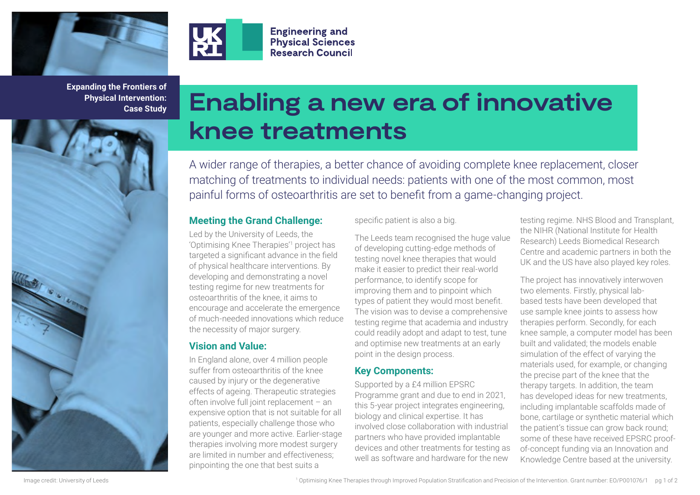



**Expanding the Frontiers of Physical Intervention: Case Study**

# **Enabling a new era of innovative knee treatments**

A wider range of therapies, a better chance of avoiding complete knee replacement, closer matching of treatments to individual needs: patients with one of the most common, most painful forms of osteoarthritis are set to benefit from a game-changing project.

#### **Meeting the Grand Challenge:**

**Engineering and Physical Sciences Research Council** 

Led by the University of Leeds, the 'Optimising Knee Therapies'1 project has targeted a significant advance in the field of physical healthcare interventions. By developing and demonstrating a novel testing regime for new treatments for osteoarthritis of the knee, it aims to encourage and accelerate the emergence of much-needed innovations which reduce the necessity of major surgery.

## **Vision and Value:**

In England alone, over 4 million people suffer from osteoarthritis of the knee caused by injury or the degenerative effects of ageing. Therapeutic strategies often involve full joint replacement – an expensive option that is not suitable for all patients, especially challenge those who are younger and more active. Earlier-stage therapies involving more modest surgery are limited in number and effectiveness; pinpointing the one that best suits a

#### specific patient is also a big.

The Leeds team recognised the huge value of developing cutting-edge methods of testing novel knee therapies that would make it easier to predict their real-world performance, to identify scope for improving them and to pinpoint which types of patient they would most benefit. The vision was to devise a comprehensive testing regime that academia and industry could readily adopt and adapt to test, tune and optimise new treatments at an early point in the design process.

#### **Key Components:**

Supported by a £4 million EPSRC Programme grant and due to end in 2021, this 5-year project integrates engineering, biology and clinical expertise. It has involved close collaboration with industrial partners who have provided implantable devices and other treatments for testing as well as software and hardware for the new

testing regime. NHS Blood and Transplant, the NIHR (National Institute for Health Research) Leeds Biomedical Research Centre and academic partners in both the UK and the US have also played key roles.

The project has innovatively interwoven two elements. Firstly, physical labbased tests have been developed that use sample knee joints to assess how therapies perform. Secondly, for each knee sample, a computer model has been built and validated; the models enable simulation of the effect of varying the materials used, for example, or changing the precise part of the knee that the therapy targets. In addition, the team has developed ideas for new treatments, including implantable scaffolds made of bone, cartilage or synthetic material which the patient's tissue can grow back round; some of these have received EPSRC proofof-concept funding via an Innovation and Knowledge Centre based at the university.